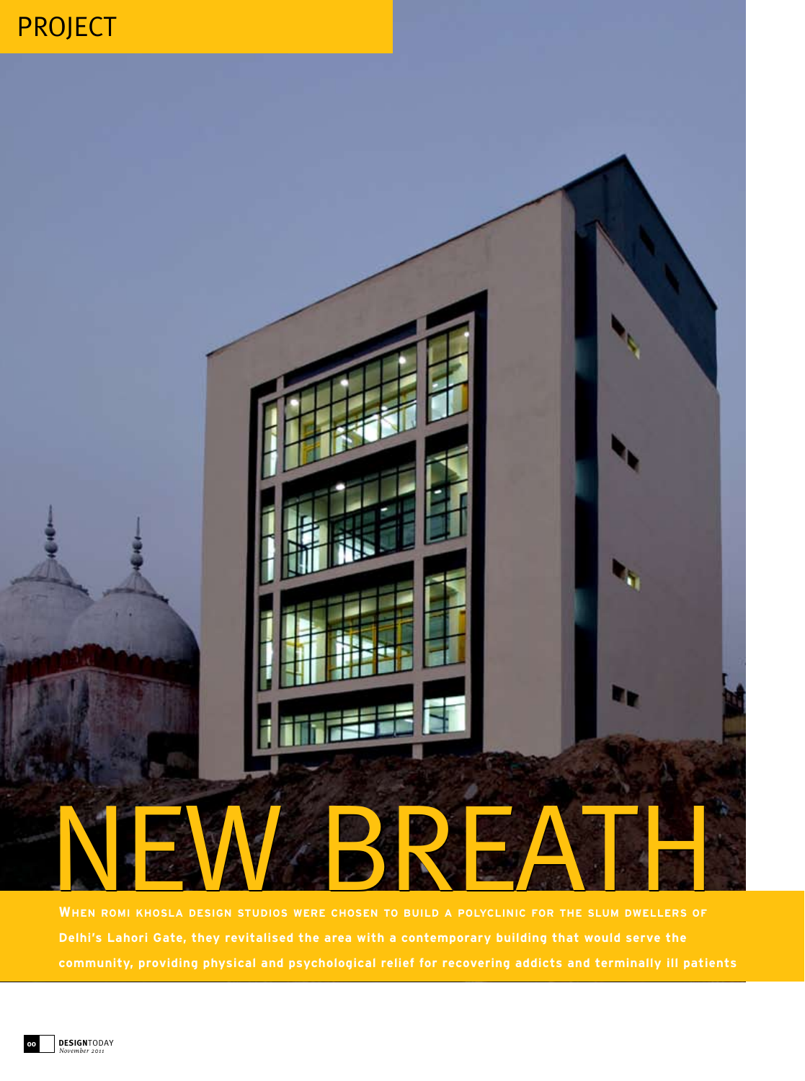## project



**When romi khosla design studios were chosen to build a polyclinic for the slum dwellers of community, providing physical and psychological relief for recovering addicts and terminally ill patients**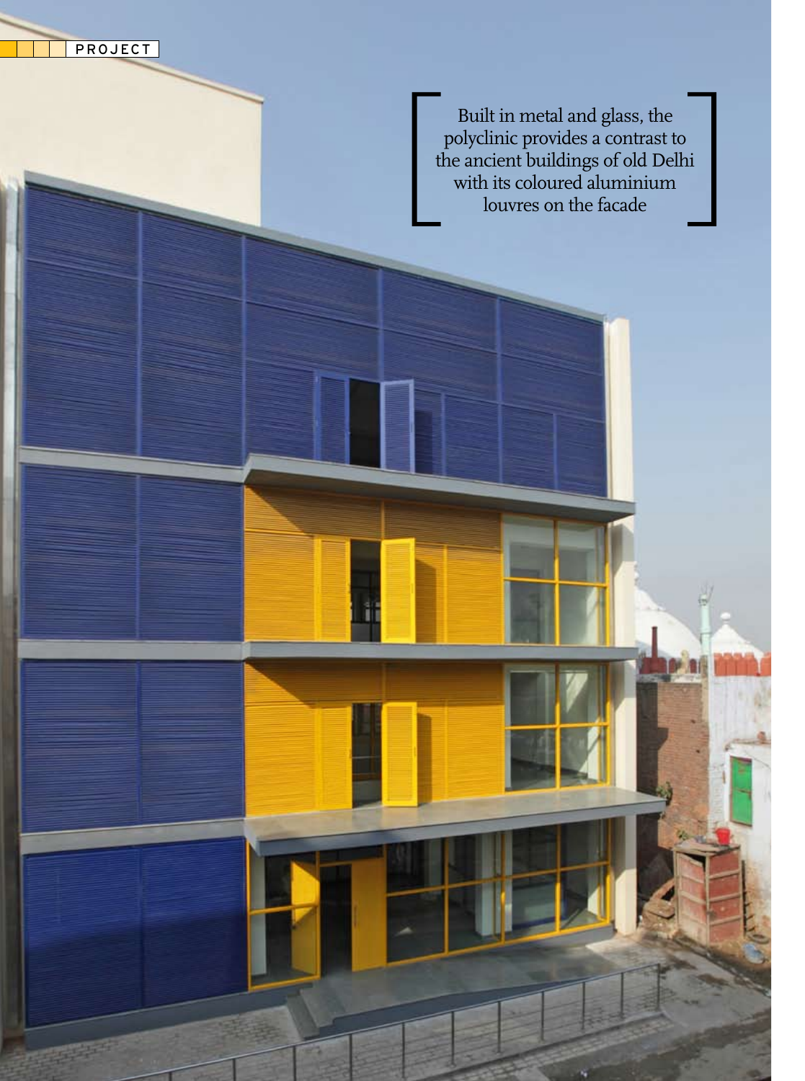project

Built in metal and glass, the polyclinic provides a contrast to the ancient buildings of old Delhi with its coloured aluminium louvres on the facade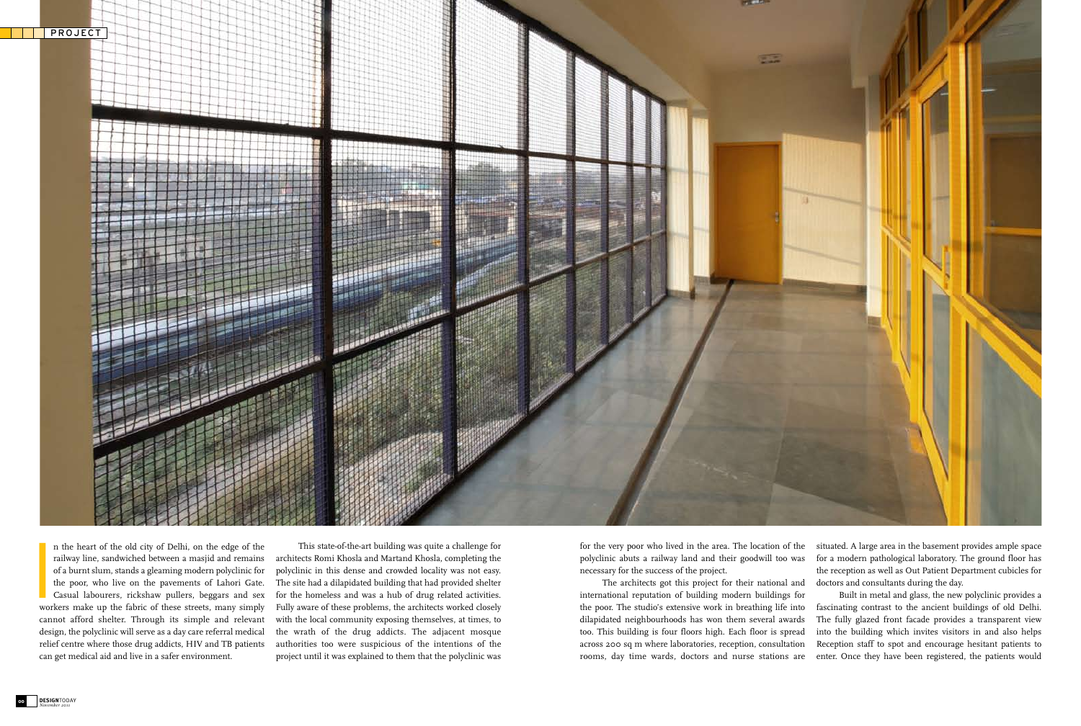**I**<br>Wor n the heart of the old city of Delhi, on the edge of the railway line, sandwiched between a masjid and remains of a burnt slum, stands a gleaming modern polyclinic for the poor, who live on the pavements of Lahori Gate. Casual labourers, rickshaw pullers, beggars and sex workers make up the fabric of these streets, many simply cannot afford shelter. Through its simple and relevant design, the polyclinic will serve as a day care referral medical relief centre where those drug addicts, HIV and TB patients can get medical aid and live in a safer environment.

This state-of-the-art building was quite a challenge for architects Romi Khosla and Martand Khosla, completing the polyclinic in this dense and crowded locality was not easy. The site had a dilapidated building that had provided shelter for the homeless and was a hub of drug related activities. Fully aware of these problems, the architects worked closely with the local community exposing themselves, at times, to the wrath of the drug addicts. The adjacent mosque authorities too were suspicious of the intentions of the project until it was explained to them that the polyclinic was

for the very poor who lived in the area. The location of the polyclinic abuts a railway land and their goodwill too was necessary for the success of the project.

The architects got this project for their national and international reputation of building modern buildings for the poor. The studio's extensive work in breathing life into dilapidated neighbourhoods has won them several awards too. This building is four floors high. Each floor is spread across 200 sq m where laboratories, reception, consultation rooms, day time wards, doctors and nurse stations are

situated. A large area in the basement provides ample space for a modern pathological laboratory. The ground floor has the reception as well as Out Patient Department cubicles for doctors and consultants during the day.

Built in metal and glass, the new polyclinic provides a fascinating contrast to the ancient buildings of old Delhi. The fully glazed front facade provides a transparent view into the building which invites visitors in and also helps Reception staff to spot and encourage hesitant patients to enter. Once they have been registered, the patients would